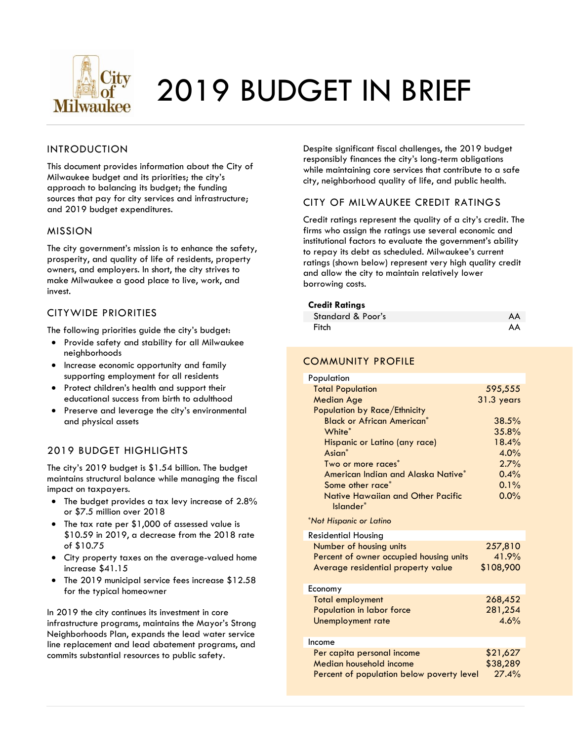

# 2019 BUDGET IN BRIEF

#### INTRODUCTION

This document provides information about the City of Milwaukee budget and its priorities; the city's approach to balancing its budget; the funding sources that pay for city services and infrastructure; and 2019 budget expenditures.

#### MISSION

The city government's mission is to enhance the safety, prosperity, and quality of life of residents, property owners, and employers. In short, the city strives to make Milwaukee a good place to live, work, and invest.

#### CITYWIDE PRIORITIES

The following priorities guide the city's budget:

- Provide safety and stability for all Milwaukee neighborhoods
- Increase economic opportunity and family supporting employment for all residents
- Protect children's health and support their educational success from birth to adulthood
- Preserve and leverage the city's environmental and physical assets

#### 2019 BUDGET HIGHLIGHTS

The city's 2019 budget is \$1.54 billion. The budget maintains structural balance while managing the fiscal impact on taxpayers.

- The budget provides a tax levy increase of 2.8% or \$7.5 million over 2018
- The tax rate per \$1,000 of assessed value is \$10.59 in 2019, a decrease from the 2018 rate of \$10.75
- City property taxes on the average-valued home increase \$41.15
- The 2019 municipal service fees increase \$12.58 for the typical homeowner

In 2019 the city continues its investment in core infrastructure programs, maintains the Mayor's Strong Neighborhoods Plan, expands the lead water service line replacement and lead abatement programs, and commits substantial resources to public safety.

Despite significant fiscal challenges, the 2019 budget responsibly finances the city's long-term obligations while maintaining core services that contribute to a safe city, neighborhood quality of life, and public health.

#### CITY OF MILWAUKEE CREDIT RATINGS

Credit ratings represent the quality of a city's credit. The firms who assign the ratings use several economic and institutional factors to evaluate the government's ability to repay its debt as scheduled. Milwaukee's current ratings (shown below) represent very high quality credit and allow the city to maintain relatively lower borrowing costs.

#### **Credit Ratings**

| Standard & Poor's | AA |
|-------------------|----|
|                   |    |
| Fitch             | AA |

#### COMMUNITY PROFILE

| Population                                     |            |
|------------------------------------------------|------------|
| <b>Total Population</b>                        | 595,555    |
| <b>Median Age</b>                              | 31.3 years |
| Population by Race/Ethnicity                   |            |
| <b>Black or African American*</b>              | 38.5%      |
| White <sup>*</sup>                             | 35.8%      |
| Hispanic or Latino (any race)                  | 18.4%      |
| Asian <sup>*</sup>                             | 4.0%       |
| Two or more races <sup>*</sup>                 | 2.7%       |
| American Indian and Alaska Native*             | 0.4%       |
| Some other race <sup>*</sup>                   | $0.1\%$    |
| Native Hawaiian and Other Pacific<br>Islander* | $0.0\%$    |
| *Not Hispanic or Latino                        |            |
| <b>Residential Housing</b>                     |            |
| Number of housing units                        | 257,810    |
| Percent of owner occupied housing units        | 41.9%      |
| Average residential property value             | \$108,900  |
| <b>Economy</b>                                 |            |

| 268,452  |
|----------|
| 281,254  |
| 4.6%     |
|          |
|          |
| \$21,627 |
| \$38,289 |
| 27.4%    |
|          |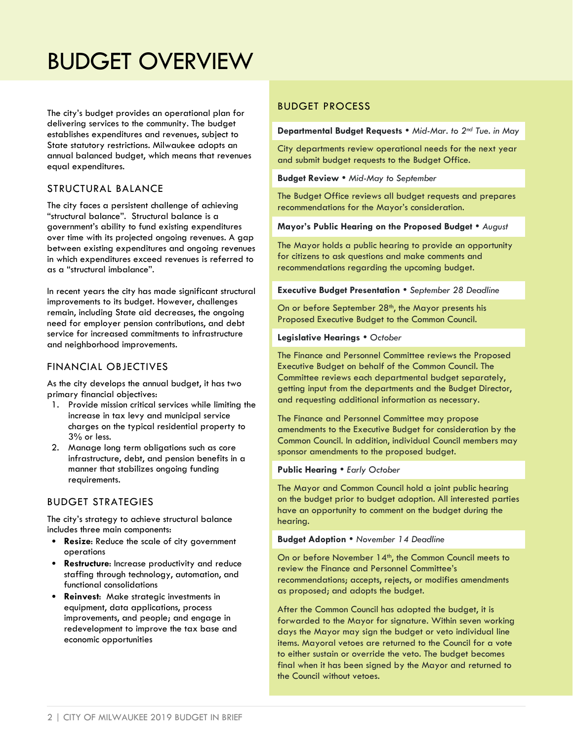### BUDGET OVERVIEW

The city's budget provides an operational plan for delivering services to the community. The budget establishes expenditures and revenues, subject to State statutory restrictions. Milwaukee adopts an annual balanced budget, which means that revenues equal expenditures.

#### STRUCTURAL BALANCE

The city faces a persistent challenge of achieving "structural balance". Structural balance is a government's ability to fund existing expenditures over time with its projected ongoing revenues. A gap between existing expenditures and ongoing revenues in which expenditures exceed revenues is referred to as a "structural imbalance".

In recent years the city has made significant structural improvements to its budget. However, challenges remain, including State aid decreases, the ongoing need for employer pension contributions, and debt service for increased commitments to infrastructure and neighborhood improvements.

#### FINANCIAL OBJECTIVES

As the city develops the annual budget, it has two primary financial objectives:

- 1. Provide mission critical services while limiting the increase in tax levy and municipal service charges on the typical residential property to 3% or less.
- 2. Manage long term obligations such as core infrastructure, debt, and pension benefits in a manner that stabilizes ongoing funding requirements.

#### BUDGET STRATEGIES

The city's strategy to achieve structural balance includes three main components:

- **Resize**: Reduce the scale of city government operations
- **Restructure**: Increase productivity and reduce staffing through technology, automation, and functional consolidations
- **Reinvest**: Make strategic investments in equipment, data applications, process improvements, and people; and engage in redevelopment to improve the tax base and economic opportunities

#### BUDGET PROCESS

**Departmental Budget Requests** *Mid-Mar. to 2nd Tue. in May*

City departments review operational needs for the next year and submit budget requests to the Budget Office.

**Budget Review** *Mid-May to September*

The Budget Office reviews all budget requests and prepares recommendations for the Mayor's consideration.

#### **Mayor's Public Hearing on the Proposed Budget** *August*

The Mayor holds a public hearing to provide an opportunity for citizens to ask questions and make comments and recommendations regarding the upcoming budget.

**Executive Budget Presentation**  *September 28 Deadline*

On or before September 28<sup>th</sup>, the Mayor presents his Proposed Executive Budget to the Common Council.

#### **Legislative Hearings**  *October*

The Finance and Personnel Committee reviews the Proposed Executive Budget on behalf of the Common Council. The Committee reviews each departmental budget separately, getting input from the departments and the Budget Director, and requesting additional information as necessary.

The Finance and Personnel Committee may propose amendments to the Executive Budget for consideration by the Common Council. In addition, individual Council members may sponsor amendments to the proposed budget.

#### **Public Hearing • Early October**

The Mayor and Common Council hold a joint public hearing on the budget prior to budget adoption. All interested parties have an opportunity to comment on the budget during the hearing.

#### **Budget Adoption** *November 14 Deadline*

On or before November 14<sup>th</sup>, the Common Council meets to review the Finance and Personnel Committee's recommendations; accepts, rejects, or modifies amendments as proposed; and adopts the budget.

After the Common Council has adopted the budget, it is forwarded to the Mayor for signature. Within seven working days the Mayor may sign the budget or veto individual line items. Mayoral vetoes are returned to the Council for a vote to either sustain or override the veto. The budget becomes final when it has been signed by the Mayor and returned to the Council without vetoes.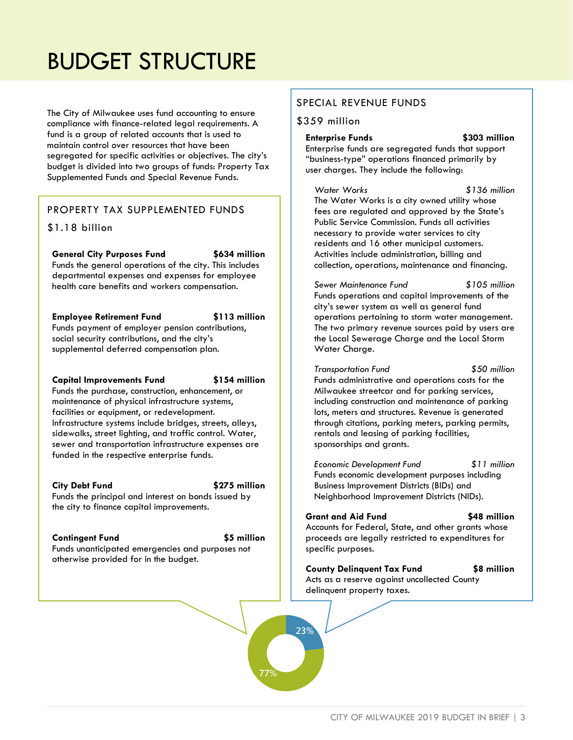## BUDGET STRUCTURE

The City of Milwaukee uses fund accounting to ensure compliance with finance-related legal requirements. A fund is a group of related accounts that is used to maintain control over resources that have been segregated for specific activities or objectives. The city's budget is divided into two groups of funds: Property Tax Supplemented Funds and Special Revenue Funds.

#### PROPERTY TAX SUPPLEMENTED FUNDS

#### \$1.18 billion

**General City Purposes Fund \$634 million**

Funds the general operations of the city. This includes departmental expenses and expenses for employee health care benefits and workers compensation.

**Employee Retirement Fund \$113 million** Funds payment of employer pension contributions, social security contributions, and the city's supplemental deferred compensation plan.

#### **Capital Improvements Fund \$154 million**

otherwise provided for in the budget.

Funds the purchase, construction, enhancement, or maintenance of physical infrastructure systems, facilities or equipment, or redevelopment. Infrastructure systems include bridges, streets, alleys, sidewalks, street lighting, and traffic control. Water, sewer and transportation infrastructure expenses are funded in the respective enterprise funds.

#### **City Debt Fund \$275 million**

Funds the principal and interest on bonds issued by the city to finance capital improvements.

#### **Contingent Fund \$5 million**

Funds unanticipated emergencies and purposes not

**23%**

**77%**

#### SPECIAL REVENUE FUNDS

#### \$359 million

**Enterprise Funds \$303 million** Enterprise funds are segregated funds that support "business-type" operations financed primarily by user charges. They include the following:

*Water Works \$136 million* The Water Works is a city owned utility whose fees are regulated and approved by the State's Public Service Commission. Funds all activities necessary to provide water services to city residents and 16 other municipal customers. Activities include administration, billing and collection, operations, maintenance and financing.

*Sewer Maintenance Fund \$105 million* Funds operations and capital improvements of the city's sewer system as well as general fund operations pertaining to storm water management. The two primary revenue sources paid by users are the Local Sewerage Charge and the Local Storm Water Charge.

*Transportation Fund \$50 million* Funds administrative and operations costs for the Milwaukee streetcar and for parking services, including construction and maintenance of parking lots, meters and structures. Revenue is generated through citations, parking meters, parking permits, rentals and leasing of parking facilities, sponsorships and grants.

*Economic Development Fund \$11 million* Funds economic development purposes including Business Improvement Districts (BIDs) and Neighborhood Improvement Districts (NIDs).

#### **Grant and Aid Fund \$48 million**

Accounts for Federal, State, and other grants whose proceeds are legally restricted to expenditures for specific purposes.

**County Delinquent Tax Fund \$8 million** Acts as a reserve against uncollected County delinquent property taxes.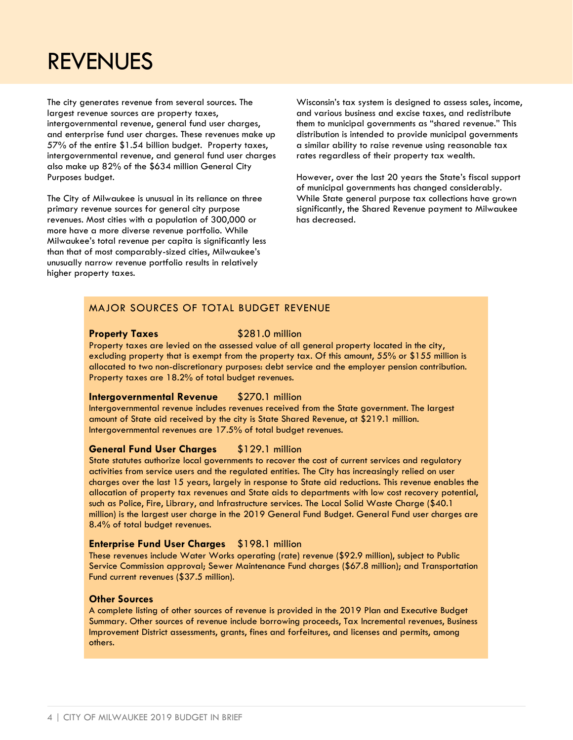### REVENUES

The city generates revenue from several sources. The largest revenue sources are property taxes, intergovernmental revenue, general fund user charges, and enterprise fund user charges. These revenues make up 57% of the entire \$1.54 billion budget. Property taxes, intergovernmental revenue, and general fund user charges also make up 82% of the \$634 million General City Purposes budget.

The City of Milwaukee is unusual in its reliance on three primary revenue sources for general city purpose revenues. Most cities with a population of 300,000 or more have a more diverse revenue portfolio. While Milwaukee's total revenue per capita is significantly less than that of most comparably-sized cities, Milwaukee's unusually narrow revenue portfolio results in relatively higher property taxes.

Wisconsin's tax system is designed to assess sales, income, and various business and excise taxes, and redistribute them to municipal governments as "shared revenue." This distribution is intended to provide municipal governments a similar ability to raise revenue using reasonable tax rates regardless of their property tax wealth.

However, over the last 20 years the State's fiscal support of municipal governments has changed considerably. While State general purpose tax collections have grown significantly, the Shared Revenue payment to Milwaukee has decreased.

#### MAJOR SOURCES OF TOTAL BUDGET REVENUE

#### **Property Taxes** \$281.0 million

Property taxes are levied on the assessed value of all general property located in the city, excluding property that is exempt from the property tax. Of this amount, 55% or \$155 million is allocated to two non-discretionary purposes: debt service and the employer pension contribution. Property taxes are 18.2% of total budget revenues.

#### **Intergovernmental Revenue** \$270.1 million

Intergovernmental revenue includes revenues received from the State government. The largest amount of State aid received by the city is State Shared Revenue, at \$219.1 million. Intergovernmental revenues are 17.5% of total budget revenues.

#### **General Fund User Charges** \$129.1 million

State statutes authorize local governments to recover the cost of current services and regulatory activities from service users and the regulated entities. The City has increasingly relied on user charges over the last 15 years, largely in response to State aid reductions. This revenue enables the allocation of property tax revenues and State aids to departments with low cost recovery potential, such as Police, Fire, Library, and Infrastructure services. The Local Solid Waste Charge (\$40.1 million) is the largest user charge in the 2019 General Fund Budget. General Fund user charges are 8.4% of total budget revenues.

#### **Enterprise Fund User Charges** \$198.1 million

These revenues include Water Works operating (rate) revenue (\$92.9 million), subject to Public Service Commission approval; Sewer Maintenance Fund charges (\$67.8 million); and Transportation Fund current revenues (\$37.5 million).

#### **Other Sources**

A complete listing of other sources of revenue is provided in the 2019 Plan and Executive Budget Summary. Other sources of revenue include borrowing proceeds, Tax Incremental revenues, Business Improvement District assessments, grants, fines and forfeitures, and licenses and permits, among others.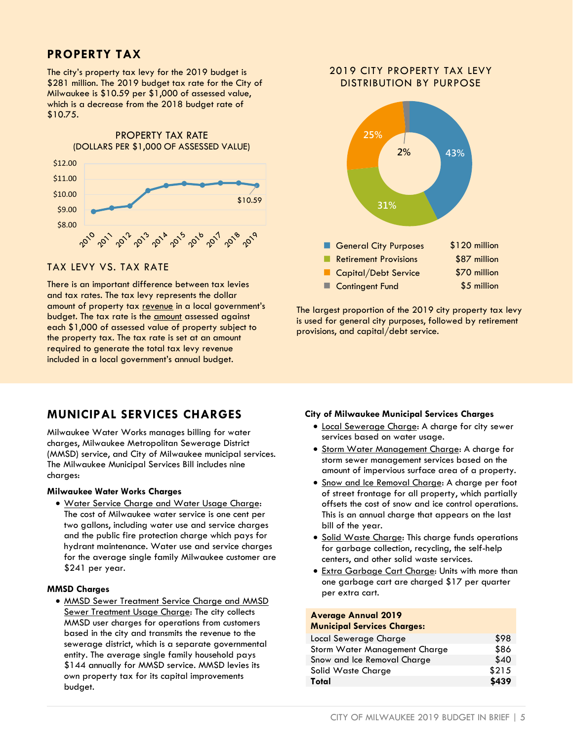### **PROPERTY TAX**

The city's property tax levy for the 2019 budget is \$281 million. The 2019 budget tax rate for the City of Milwaukee is \$10.59 per \$1,000 of assessed value, which is a decrease from the 2018 budget rate of \$10.75.



#### TAX LEVY VS. TAX RATE

There is an important difference between tax levies and tax rates. The tax levy represents the dollar amount of property tax revenue in a local government's budget. The tax rate is the **amount** assessed against each \$1,000 of assessed value of property subject to the property tax. The tax rate is set at an amount required to generate the total tax levy revenue included in a local government's annual budget.

#### 2019 CITY PROPERTY TAX LEVY DISTRIBUTION BY PURPOSE



The largest proportion of the 2019 city property tax levy is used for general city purposes, followed by retirement provisions, and capital/debt service.

### **MUNICIPAL SERVICES CHARGES**

Milwaukee Water Works manages billing for water charges, Milwaukee Metropolitan Sewerage District (MMSD) service, and City of Milwaukee municipal services. The Milwaukee Municipal Services Bill includes nine charges:

#### **Milwaukee Water Works Charges**

 Water Service Charge and Water Usage Charge: The cost of Milwaukee water service is one cent per two gallons, including water use and service charges and the public fire protection charge which pays for hydrant maintenance. Water use and service charges for the average single family Milwaukee customer are \$241 per year.

#### **MMSD Charges**

**• MMSD Sewer Treatment Service Charge and MMSD** Sewer Treatment Usage Charge: The city collects MMSD user charges for operations from customers based in the city and transmits the revenue to the sewerage district, which is a separate governmental entity. The average single family household pays \$144 annually for MMSD service. MMSD levies its own property tax for its capital improvements budget.

#### **City of Milwaukee Municipal Services Charges**

- Local Sewerage Charge: A charge for city sewer services based on water usage.
- Storm Water Management Charge: A charge for storm sewer management services based on the amount of impervious surface area of a property.
- Snow and Ice Removal Charge: A charge per foot of street frontage for all property, which partially offsets the cost of snow and ice control operations. This is an annual charge that appears on the last bill of the year.
- Solid Waste Charge: This charge funds operations for garbage collection, recycling, the self-help centers, and other solid waste services.
- Extra Garbage Cart Charge: Units with more than one garbage cart are charged \$17 per quarter per extra cart.

#### **Average Annual 2019**

#### **Municipal Services Charges:**

| Local Sewerage Charge         | \$98  |
|-------------------------------|-------|
| Storm Water Management Charge | \$86  |
| Snow and Ice Removal Charge   | \$40  |
| Solid Waste Charge            | \$215 |
| Total                         | \$439 |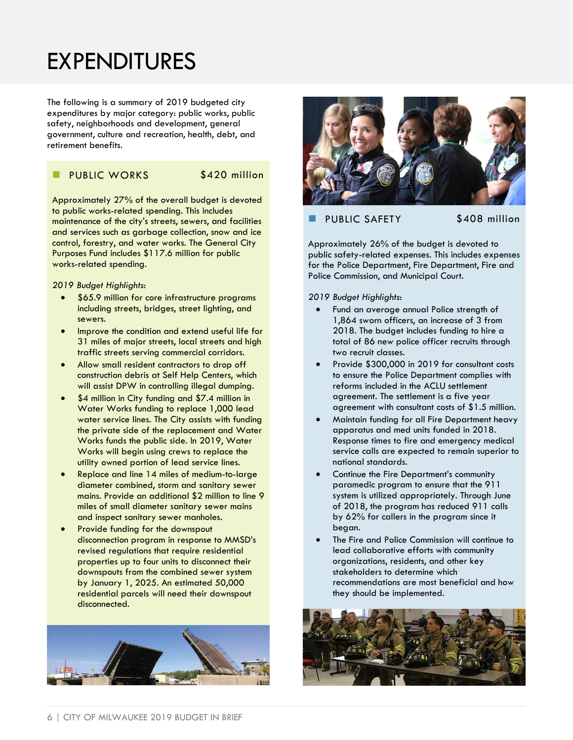## EXPENDITURES

The following is a summary of 2019 budgeted city expenditures by major category: public works, public safety, neighborhoods and development, general government, culture and recreation, health, debt, and retirement benefits.

#### PUBLIC WORKS \$420 million

Approximately 27% of the overall budget is devoted to public works-related spending. This includes maintenance of the city's streets, sewers, and facilities and services such as garbage collection, snow and ice control, forestry, and water works. The General City Purposes Fund includes \$117.6 million for public works-related spending.

*2019 Budget Highlights*:

- \$65.9 million for core infrastructure programs including streets, bridges, street lighting, and sewers.
- Improve the condition and extend useful life for 31 miles of major streets, local streets and high traffic streets serving commercial corridors.
- Allow small resident contractors to drop off construction debris at Self Help Centers, which will assist DPW in controlling illegal dumping.
- \$4 million in City funding and \$7.4 million in Water Works funding to replace 1,000 lead water service lines. The City assists with funding the private side of the replacement and Water Works funds the public side. In 2019, Water Works will begin using crews to replace the utility owned portion of lead service lines.
- Replace and line 14 miles of medium-to-large diameter combined, storm and sanitary sewer mains. Provide an additional \$2 million to line 9 miles of small diameter sanitary sewer mains and inspect sanitary sewer manholes.
- Provide funding for the downspout disconnection program in response to MMSD's revised regulations that require residential properties up to four units to disconnect their downspouts from the combined sewer system by January 1, 2025. An estimated 50,000 residential parcels will need their downspout disconnected.





#### PUBLIC SAFETY \$408 million

Approximately 26% of the budget is devoted to public safety-related expenses. This includes expenses for the Police Department, Fire Department, Fire and Police Commission, and Municipal Court.

*2019 Budget Highlights*:

- Fund an average annual Police strength of 1,864 sworn officers, an increase of 3 from 2018. The budget includes funding to hire a total of 86 new police officer recruits through two recruit classes.
- Provide \$300,000 in 2019 for consultant costs to ensure the Police Department complies with reforms included in the ACLU settlement agreement. The settlement is a five year agreement with consultant costs of \$1.5 million.
- Maintain funding for all Fire Department heavy apparatus and med units funded in 2018. Response times to fire and emergency medical service calls are expected to remain superior to national standards.
- Continue the Fire Department's community paramedic program to ensure that the 911 system is utilized appropriately. Through June of 2018, the program has reduced 911 calls by 62% for callers in the program since it began.
- The Fire and Police Commission will continue to lead collaborative efforts with community organizations, residents, and other key stakeholders to determine which recommendations are most beneficial and how they should be implemented.

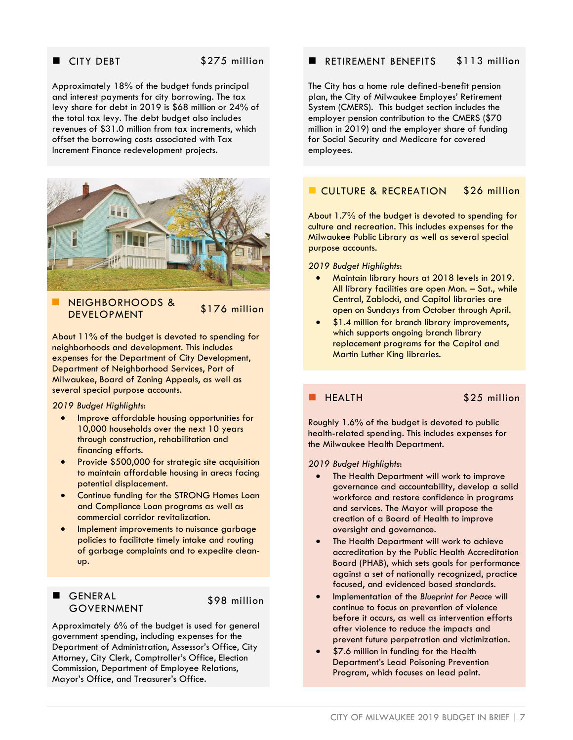#### CITY DEBT \$275 million

Approximately 18% of the budget funds principal and interest payments for city borrowing. The tax levy share for debt in 2019 is \$68 million or 24% of the total tax levy. The debt budget also includes revenues of \$31.0 million from tax increments, which offset the borrowing costs associated with Tax Increment Finance redevelopment projects.



 NEIGHBORHOODS & NEIOIIDOKIIOODS & \$176 million

About 11% of the budget is devoted to spending for neighborhoods and development. This includes expenses for the Department of City Development, Department of Neighborhood Services, Port of Milwaukee, Board of Zoning Appeals, as well as several special purpose accounts.

*2019 Budget Highlights*:

- Improve affordable housing opportunities for 10,000 households over the next 10 years through construction, rehabilitation and financing efforts.
- Provide \$500,000 for strategic site acquisition to maintain affordable housing in areas facing potential displacement.
- Continue funding for the STRONG Homes Loan and Compliance Loan programs as well as commercial corridor revitalization.
- Implement improvements to nuisance garbage policies to facilitate timely intake and routing of garbage complaints and to expedite cleanup.

#### GENERAL GOVERNMENT

\$98 million

Approximately 6% of the budget is used for general government spending, including expenses for the Department of Administration, Assessor's Office, City Attorney, City Clerk, Comptroller's Office, Election Commission, Department of Employee Relations, Mayor's Office, and Treasurer's Office.

#### RETIREMENT BENEFITS \$113 million

The City has a home rule defined-benefit pension plan, the City of Milwaukee Employes' Retirement System (CMERS). This budget section includes the employer pension contribution to the CMERS (\$70 million in 2019) and the employer share of funding for Social Security and Medicare for covered employees.

#### CULTURE & RECREATION \$26 million

About 1.7% of the budget is devoted to spending for culture and recreation. This includes expenses for the Milwaukee Public Library as well as several special purpose accounts.

*2019 Budget Highlights*:

- Maintain library hours at 2018 levels in 2019. All library facilities are open Mon. – Sat., while Central, Zablocki, and Capitol libraries are open on Sundays from October through April.
- \$1.4 million for branch library improvements, which supports ongoing branch library replacement programs for the Capitol and Martin Luther King libraries.

HEALTH \$25 million

Roughly 1.6% of the budget is devoted to public health-related spending. This includes expenses for the Milwaukee Health Department.

*2019 Budget Highlights*:

- The Health Department will work to improve governance and accountability, develop a solid workforce and restore confidence in programs and services. The Mayor will propose the creation of a Board of Health to improve oversight and governance.
- The Health Department will work to achieve accreditation by the Public Health Accreditation Board (PHAB), which sets goals for performance against a set of nationally recognized, practice focused, and evidenced based standards.
- Implementation of the *Blueprint for Peace* will continue to focus on prevention of violence before it occurs, as well as intervention efforts after violence to reduce the impacts and prevent future perpetration and victimization.
- \$7.6 million in funding for the Health Department's Lead Poisoning Prevention Program, which focuses on lead paint.